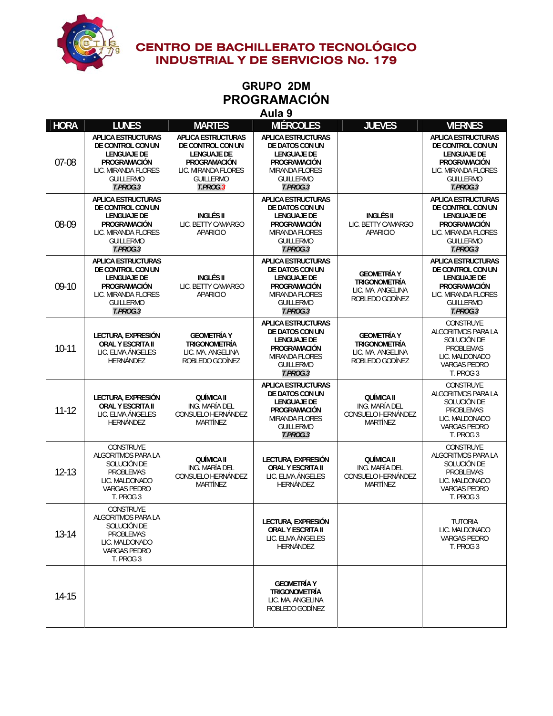

# **GRUPO 2DM PROGRAMACIÓN**

**Aula 9** 

| <b>HORA</b> | <b>LUNES</b>                                                                                                                                | <b>MARTES</b>                                                                                                                               | <b>MIÉRCOLES</b>                                                                                                                            | <b>JUEVES</b>                                                                      | <b>VIERNES</b>                                                                                                                              |
|-------------|---------------------------------------------------------------------------------------------------------------------------------------------|---------------------------------------------------------------------------------------------------------------------------------------------|---------------------------------------------------------------------------------------------------------------------------------------------|------------------------------------------------------------------------------------|---------------------------------------------------------------------------------------------------------------------------------------------|
| 07-08       | <b>APLICA ESTRUCTURAS</b><br>DE CONTROL CON UN<br><b>LENGUAJE DE</b><br>PROGRAMACIÓN<br>LIC. MIRANDA FLORES<br><b>GUILLERMO</b><br>T.PROG.3 | <b>APLICA ESTRUCTURAS</b><br>DE CONTROL CON UN<br><b>LENGUAJE DE</b><br>PROGRAMACIÓN<br>LIC. MIRANDA FLORES<br><b>GUILLERMO</b><br>T.PROG.3 | <b>APLICA ESTRUCTURAS</b><br>DE DATOS CON UN<br><b>LENGUAJE DE</b><br>PROGRAMACIÓN<br><b>MIRANDA FLORES</b><br><b>GUILLERMO</b><br>T.PROG.3 |                                                                                    | <b>APLICA ESTRUCTURAS</b><br>DE CONTROL CON UN<br><b>LENGUAJE DE</b><br>PROGRAMACIÓN<br>LIC. MIRANDA FLORES<br><b>GUILLERMO</b><br>T.PROG.3 |
| 08-09       | <b>APLICA ESTRUCTURAS</b><br>DE CONTROL CON UN<br><b>LENGUAJE DE</b><br>PROGRAMACIÓN<br>LIC. MIRANDA FLORES<br><b>GUILLERMO</b><br>T.PROG.3 | <b>INGLÉS II</b><br>LIC. BETTY CAMARGO<br><b>APARICIO</b>                                                                                   | <b>APLICA ESTRUCTURAS</b><br>DE DATOS CON UN<br><b>LENGUAJE DE</b><br>PROGRAMACIÓN<br><b>MIRANDA FLORES</b><br><b>GUILLERMO</b><br>T.PROG.3 | <b>INGLÉS II</b><br>LIC. BETTY CAMARGO<br><b>APARICIO</b>                          | <b>APLICA ESTRUCTURAS</b><br>DE CONTROL CON UN<br><b>LENGUAJE DE</b><br>PROGRAMACIÓN<br>LIC. MIRANDA FLORES<br><b>GUILLERMO</b><br>T.PROG.3 |
| $09-10$     | <b>APLICA ESTRUCTURAS</b><br>DE CONTROL CON UN<br><b>LENGUAJE DE</b><br>PROGRAMACIÓN<br>LIC. MIRANDA FLORES<br><b>GUILLERMO</b><br>T.PROG.3 | <b>INGLÉS II</b><br>LIC. BETTY CAMARGO<br><b>APARICIO</b>                                                                                   | <b>APLICA ESTRUCTURAS</b><br>DE DATOS CON UN<br><b>LENGUAJE DE</b><br>PROGRAMACIÓN<br><b>MIRANDA FLORES</b><br><b>GUILLERMO</b><br>T.PROG.3 | <b>GEOMETRÍA Y</b><br><b>TRIGONOMETRÍA</b><br>LIC. MA. ANGELINA<br>ROBLEDO GODÍNEZ | <b>APLICA ESTRUCTURAS</b><br>DE CONTROL CON UN<br><b>LENGUAJE DE</b><br>PROGRAMACIÓN<br>LIC. MIRANDA FLORES<br><b>GUILLERMO</b><br>T.PROG.3 |
| $10-11$     | LECTURA, EXPRESIÓN<br><b>ORAL Y ESCRITA II</b><br>LIC. ELMA ÁNGELES<br><b>HERNÁNDEZ</b>                                                     | <b>GEOMETRÍA Y</b><br><b>TRIGONOMETRÍA</b><br>LIC. MA. ANGELINA<br>ROBLEDO GODÍNEZ                                                          | <b>APLICA ESTRUCTURAS</b><br>DE DATOS CON UN<br><b>LENGUAJE DE</b><br>PROGRAMACIÓN<br><b>MIRANDA FLORES</b><br><b>GUILLERMO</b><br>T.PROG.3 | <b>GEOMETRÍA Y</b><br><b>TRIGONOMETRÍA</b><br>LIC. MA. ANGELINA<br>ROBLEDO GODÍNEZ | CONSTRUYE<br>ALGORITMOS PARA LA<br>SOLUCIÓN DE<br><b>PROBLEMAS</b><br>LIC. MALDONADO<br><b>VARGAS PEDRO</b><br>T. PROG 3                    |
| $11 - 12$   | LECTURA, EXPRESIÓN<br><b>ORAL Y ESCRITA II</b><br>LIC. ELMA ÁNGELES<br>HERNÁNDEZ                                                            | <b>QUÍMICA II</b><br>ING. MARÍA DEL<br>CONSUELO HERNÁNDEZ<br>MARTÍNEZ                                                                       | <b>APLICA ESTRUCTURAS</b><br>DE DATOS CON UN<br><b>LENGUAJE DE</b><br>PROGRAMACIÓN<br><b>MIRANDA FLORES</b><br><b>GUILLERMO</b><br>T.PROG.3 | <b>QUÍMICA II</b><br>ING. MARÍA DEL<br>CONSUELO HERNÁNDEZ<br>MARTÍNEZ              | <b>CONSTRUYE</b><br>ALGORITMOS PARA LA<br>SOLUCIÓN DE<br><b>PROBLEMAS</b><br>LIC. MALDONADO<br><b>VARGAS PEDRO</b><br>T. PROG 3             |
| $12 - 13$   | <b>CONSTRUYE</b><br>ALGORITMOS PARA LA<br>SOLUCIÓN DE<br>PROBLEMAS<br>LIC. MALDONADO<br>VARGAS PEDRO<br>T. PROG 3                           | QUÍMICA II<br>ING. MARÍA DEL<br>CONSUELO HERNÁNDEZ<br>MARTÍNEZ                                                                              | LECTURA, EXPRESIÓN<br><b>ORAL Y ESCRITA II</b><br>LIC. ELMA ÁNGELES<br>HERNÁNDEZ                                                            | <b>QUÍMICA II</b><br>ING. MARÍA DEL<br>CONSUELO HERNÁNDEZ<br>MARTÍNEZ              | <b>CONSTRUYE</b><br>ALGORITMOS PARA LA<br>SOLUCIÓN DE<br><b>PROBLEMAS</b><br>LIC. MALDONADO<br><b>VARGAS PEDRO</b><br>T. PROG 3             |
| 13-14       | <b>CONSTRUYE</b><br>ALGORITMOS PARA LA<br>SOLUCION DE<br><b>PROBLEMAS</b><br>LIC. MALDONADO<br>VARGAS PEDRO<br>T. PROG 3                    |                                                                                                                                             | LECTURA, EXPRESIÓN<br><b>ORAL Y ESCRITA II</b><br>LIC. ELMA ÁNGELES<br>HERNÁNDEZ                                                            |                                                                                    | <b>TUTORIA</b><br>LIC. MALDONADO<br><b>VARGAS PEDRO</b><br>T. PROG 3                                                                        |
| 14-15       |                                                                                                                                             |                                                                                                                                             | <b>GEOMETRÍA Y</b><br><b>TRIGONOMETRÍA</b><br>LIC. MA. ANGELINA<br>ROBLEDO GODÍNEZ                                                          |                                                                                    |                                                                                                                                             |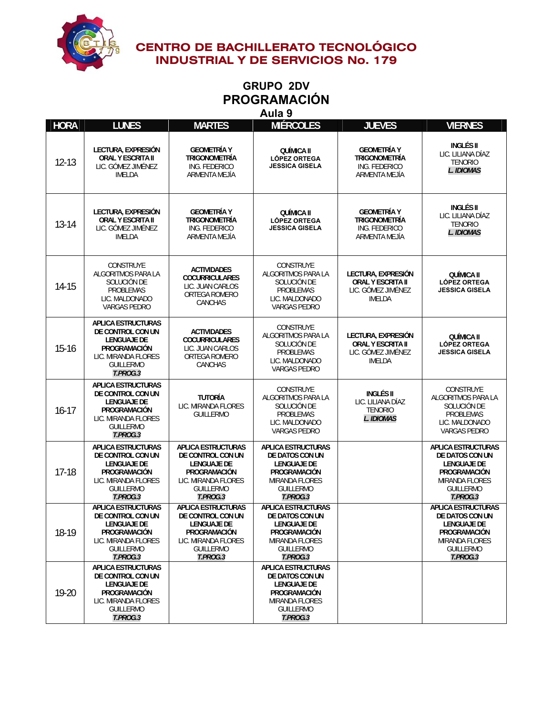

### **GRUPO 2DV PROGRAMACIÓN Aula 9**

| <b>HORA</b> | <b>LUNES</b>                                                                                                                                | <b>MARTES</b>                                                                                                                               | <b>MIÉRCOLES</b>                                                                                                                            | <b>JUEVES</b>                                                                         | <b>VIERNES</b>                                                                                                                              |
|-------------|---------------------------------------------------------------------------------------------------------------------------------------------|---------------------------------------------------------------------------------------------------------------------------------------------|---------------------------------------------------------------------------------------------------------------------------------------------|---------------------------------------------------------------------------------------|---------------------------------------------------------------------------------------------------------------------------------------------|
| $12 - 13$   | LECTURA, EXPRESIÓN<br><b>ORAL Y ESCRITA II</b><br>LIC. GÓMEZ JIMÉNEZ<br>IMELDA                                                              | <b>GEOMETRÍA Y</b><br><b>TRIGONOMETRÍA</b><br>ING. FEDERICO<br>ARMENTA MEJÍA                                                                | QUÍMICA II<br><b>LÓPEZ ORTEGA</b><br><b>JESSICA GISELA</b>                                                                                  | <b>GEOMETRÍA Y</b><br><b>TRIGONOMETRÍA</b><br>ING. FEDERICO<br>ARMENTA MEJÍA          | <b>INGLÉS II</b><br>LIC. LILIANA DÍAZ<br><b>TENORIO</b><br><b>L. IDIOMAS</b>                                                                |
| $13 - 14$   | LECTURA, EXPRESIÓN<br><b>ORAL Y ESCRITA II</b><br>LIC. GÓMEZ JIMÉNEZ<br><b>IMELDA</b>                                                       | <b>GEOMETRÍA Y</b><br><b>TRIGONOMETRÍA</b><br>ING. FEDERICO<br>ARMENTA MEJÍA                                                                | <b>QUÍMICA II</b><br><b>LÓPEZ ORTEGA</b><br><b>JESSICA GISELA</b>                                                                           | <b>GEOMETRÍA Y</b><br><b>TRIGONOMETRÍA</b><br>ING. FEDERICO<br>ARMENTA MEJÍA          | <b>INGLÉS II</b><br>LIC. LILIANA DÍAZ<br><b>TENORIO</b><br>L. IDIOMAS                                                                       |
| 14-15       | <b>CONSTRUYE</b><br>ALGORITMOS PARA LA<br>SOLUCIÓN DE<br>PROBLEMAS<br>LIC. MALDONADO<br><b>VARGAS PEDRO</b>                                 | <b>ACTIVIDADES</b><br><b>COCURRICULARES</b><br>LIC. JUAN CARLOS<br>ORTEGA ROMERO<br><b>CANCHAS</b>                                          | <b>CONSTRUYE</b><br>ALGORITMOS PARA LA<br>SOLUCIÓN DE<br><b>PROBLEMAS</b><br>LIC. MALDONADO<br>VARGAS PEDRO                                 | LECTURA, EXPRESIÓN<br><b>ORAL Y ESCRITA II</b><br>LIC. GÓMEZ JIMÉNEZ<br><b>IMELDA</b> | QUÍMICA II<br><b>LÓPEZ ORTEGA</b><br><b>JESSICA GISELA</b>                                                                                  |
| $15 - 16$   | <b>APLICA ESTRUCTURAS</b><br>DE CONTROL CON UN<br><b>LENGUAJE DE</b><br>PROGRAMACIÓN<br>LIC. MIRANDA FLORES<br><b>GUILLERMO</b><br>T.PROG.3 | <b>ACTIVIDADES</b><br><b>COCURRICULARES</b><br>LIC. JUAN CARLOS<br>ORTEGA ROMERO<br>CANCHAS                                                 | <b>CONSTRUYE</b><br>ALGORITMOS PARA LA<br>SOLUCIÓN DE<br><b>PROBLEMAS</b><br>LIC. MALDONADO<br>VARGAS PEDRO                                 | LECTURA, EXPRESIÓN<br><b>ORAL Y ESCRITA II</b><br>LIC. GÓMEZ JIMÉNEZ<br><b>IMELDA</b> | <b>QUÍMICA II</b><br><b>LÓPEZ ORTEGA</b><br><b>JESSICA GISELA</b>                                                                           |
| $16 - 17$   | <b>APLICA ESTRUCTURAS</b><br>DE CONTROL CON UN<br><b>LENGUAJE DE</b><br>PROGRAMACIÓN<br>LIC. MIRANDA FLORES<br><b>GUILLERMO</b><br>T.PROG.3 | <b>TUTORÍA</b><br>LIC. MIRANDA FLORES<br><b>GUILLERMO</b>                                                                                   | <b>CONSTRUYE</b><br>ALGORITMOS PARA LA<br>SOLUCIÓN DE<br><b>PROBLEMAS</b><br>LIC. MALDONADO<br><b>VARGAS PEDRO</b>                          | <b>INGLÉS II</b><br>LIC. LILIANA DÍAZ<br><b>TENORIO</b><br><b>L. IDIOMAS</b>          | CONSTRUYE<br>ALGORITMOS PARA LA<br>SOLUCIÓN DE<br><b>PROBLEMAS</b><br>LIC. MALDONADO<br>VARGAS PEDRO                                        |
| $17-18$     | <b>APLICA ESTRUCTURAS</b><br>DE CONTROL CON UN<br><b>LENGUAJE DE</b><br>PROGRAMACIÓN<br>LIC. MIRANDA FLORES<br><b>GUILLERMO</b><br>T.PROG.3 | <b>APLICA ESTRUCTURAS</b><br>DE CONTROL CON UN<br><b>LENGUAJE DE</b><br>PROGRAMACIÓN<br>LIC. MIRANDA FLORES<br><b>GUILLERMO</b><br>T.PROG.3 | <b>APLICA ESTRUCTURAS</b><br>DE DATOS CON UN<br><b>LENGUAJE DE</b><br>PROGRAMACIÓN<br><b>MIRANDA FLORES</b><br><b>GUILLERMO</b><br>T.PROG.3 |                                                                                       | <b>APLICA ESTRUCTURAS</b><br>DE DATOS CON UN<br><b>LENGUAJE DE</b><br>PROGRAMACIÓN<br><b>MIRANDA FLORES</b><br><b>GUILLERMO</b><br>T.PROG.3 |
| 18-19       | <b>APLICA ESTRUCTURAS</b><br>DE CONTROL CON UN<br><b>LENGUAJE DE</b><br>PROGRAMACIÓN<br>LIC. MIRANDA FLORES<br><b>GUILLERMO</b><br>T.PROG.3 | <b>APLICA ESTRUCTURAS</b><br>DE CONTROL CON UN<br><b>LENGUAJE DE</b><br>PROGRAMACIÓN<br>LIC. MIRANDA FLORES<br><b>GUILLERMO</b><br>T.PROG.3 | <b>APLICA ESTRUCTURAS</b><br>DE DATOS CON UN<br><b>LENGUAJE DE</b><br>PROGRAMACION<br><b>MIRANDA FLORES</b><br><b>GUILLERMO</b><br>T.PROG.3 |                                                                                       | <b>APLICA ESTRUCTURAS</b><br>DE DATOS CON UN<br><b>LENGUAJE DE</b><br>PROGRAMACIÓN<br><b>MIRANDA FLORES</b><br><b>GUILLERMO</b><br>T.PROG.3 |
| 19-20       | <b>APLICA ESTRUCTURAS</b><br>DE CONTROL CON UN<br><b>LENGUAJE DE</b><br>PROGRAMACIÓN<br>LIC. MIRANDA FLORES<br><b>GUILLERMO</b><br>T.PROG.3 |                                                                                                                                             | APLICA ESTRUCTURAS<br>DE DATOS CON UN<br><b>LENGUAJE DE</b><br>PROGRAMACIÓN<br><b>MIRANDA FLORES</b><br><b>GUILLERMO</b><br>T.PROG.3        |                                                                                       |                                                                                                                                             |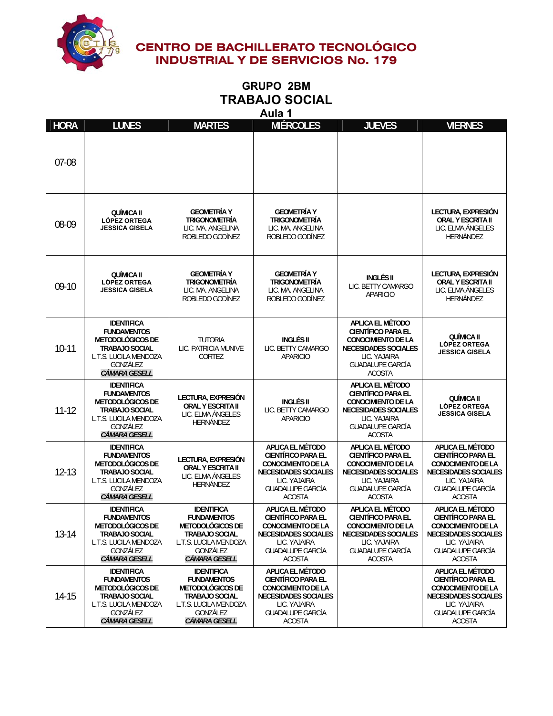

### **GRUPO 2BM TRABAJO SOCIAL Aula 1**

| <b>HORA</b> | <b>LUNES</b>                                                                                                                                      | <b>MARTES</b>                                                                                                                                     | <b>MIÉRCOLES</b>                                                                                                                                                             | <b>JUEVES</b>                                                                                                                                                                | <b>VIERNES</b>                                                                                                                                                               |
|-------------|---------------------------------------------------------------------------------------------------------------------------------------------------|---------------------------------------------------------------------------------------------------------------------------------------------------|------------------------------------------------------------------------------------------------------------------------------------------------------------------------------|------------------------------------------------------------------------------------------------------------------------------------------------------------------------------|------------------------------------------------------------------------------------------------------------------------------------------------------------------------------|
| $07-08$     |                                                                                                                                                   |                                                                                                                                                   |                                                                                                                                                                              |                                                                                                                                                                              |                                                                                                                                                                              |
| 08-09       | QUÍMICA II<br><b>LÓPEZ ORTEGA</b><br><b>JESSICA GISELA</b>                                                                                        | <b>GEOMETRÍA Y</b><br><b>TRIGONOMETRÍA</b><br>LIC. MA. ANGELINA<br>ROBLEDO GODÍNEZ                                                                | <b>GEOMETRÍA Y</b><br><b>TRIGONOMETRÍA</b><br>LIC. MA. ANGELINA<br>ROBLEDO GODÍNEZ                                                                                           |                                                                                                                                                                              | LECTURA, EXPRESIÓN<br>ORAL Y ESCRITA II<br>LIC. ELMA ÁNGELES<br>HERNÁNDEZ                                                                                                    |
| $09-10$     | QUÍMICA II<br><b>LÓPEZ ORTEGA</b><br><b>JESSICA GISELA</b>                                                                                        | <b>GEOMETRÍA Y</b><br><b>TRIGONOMETRÍA</b><br>LIC. MA. ANGELINA<br>ROBLEDO GODÍNEZ                                                                | <b>GEOMETRÍA Y</b><br><b>TRIGONOMETRÍA</b><br>LIC. MA. ANGELINA<br>ROBLEDO GODÍNEZ                                                                                           | <b>INGLÉS II</b><br>LIC. BETTY CAMARGO<br><b>APARICIO</b>                                                                                                                    | LECTURA, EXPRESIÓN<br>ORAL Y ESCRITA II<br>LIC. ELMA ÁNGELES<br>HERNÁNDEZ                                                                                                    |
| $10-11$     | <b>IDENTIFICA</b><br><b>FUNDAMENTOS</b><br>METODOLÓGICOS DE<br><b>TRABAJO SOCIAL</b><br>L.T.S. LUCILA MENDOZA<br>GONZÁLEZ<br>CÁMARA GESELL        | <b>TUTORIA</b><br>LIC. PATRICIA MUNIVE<br>CORTEZ                                                                                                  | <b>INGLÉS II</b><br>LIC. BETTY CAMARGO<br><b>APARICIO</b>                                                                                                                    | APLICA EL MÉTODO<br><b>CIENTÍFICO PARA EL</b><br><b>CONOCIMIENTO DE LA</b><br><b>NECESIDADES SOCIALES</b><br>LIC. YAJAIRA<br><b>GUADALUPE GARCÍA</b><br><b>ACOSTA</b>        | QUÍMICA II<br><b>LÓPEZ ORTEGA</b><br><b>JESSICA GISELA</b>                                                                                                                   |
| $11 - 12$   | <b>IDENTIFICA</b><br><b>FUNDAMENTOS</b><br>METODOLÓGICOS DE<br><b>TRABAJO SOCIAL</b><br>L.T.S. LUCILA MENDOZA<br>GONZÁLEZ<br>CÁMARA GESELL        | LECTURA, EXPRESIÓN<br><b>ORAL Y ESCRITA II</b><br>LIC. ELMA ÁNGELES<br>HERNÁNDEZ                                                                  | INGLÉS II<br>LIC. BETTY CAMARGO<br>APARICIO                                                                                                                                  | <b>APLICA EL MÉTODO</b><br><b>CIENTÍFICO PARA EL</b><br><b>CONOCIMIENTO DE LA</b><br><b>NECESIDADES SOCIALES</b><br>LIC. YAJAIRA<br><b>GUADALUPE GARCÍA</b><br><b>ACOSTA</b> | <b>QUÍMICA II</b><br><b>LÓPEZ ORTEGA</b><br><b>JESSICA GISELA</b>                                                                                                            |
| $12 - 13$   | <b>IDENTIFICA</b><br><b>FUNDAMENTOS</b><br>METODOLÓGICOS DE<br><b>TRABAJO SOCIAL</b><br>L.T.S. LUCILA MENDOZA<br>GONZÁLEZ<br>CÁMARA GESELL        | LECTURA, EXPRESIÓN<br>ORAL Y ESCRITA II<br>LIC. ELMA ÁNGELES<br>HERNÁNDEZ                                                                         | <b>APLICA EL MÉTODO</b><br><b>CIENTÍFICO PARA EL</b><br><b>CONOCIMIENTO DE LA</b><br><b>NECESIDADES SOCIALES</b><br>LIC. YAJAIRA<br><b>GUADALUPE GARCÍA</b><br><b>ACOSTA</b> | APLICA EL MÉTODO<br><b>CIENTÍFICO PARA EL</b><br><b>CONOCIMIENTO DE LA</b><br><b>NECESIDADES SOCIALES</b><br>LIC. YAJAIRA<br><b>GUADALUPE GARCÍA</b><br><b>ACOSTA</b>        | APLICA EL MÉTODO<br><b>CIENTÍFICO PARA EL</b><br><b>CONOCIMIENTO DE LA</b><br><b>NECESIDADES SOCIALES</b><br>LIC. YAJAIRA<br><b>GUADALUPE GARCÍA</b><br><b>ACOSTA</b>        |
| 13-14       | <b>IDENTIFICA</b><br><b>FUNDAMENTOS</b><br>METODOLÓGICOS DE<br><b>TRABAJO SOCIAL</b><br>L.T.S. LUCILA MENDOZA<br>GONZÁLEZ<br>CÁMARA GESELL        | <b>IDENTIFICA</b><br><b>FUNDAMENTOS</b><br>METODOLÓGICOS DE<br><b>TRABAJO SOCIAL</b><br>L.T.S. LUCILA MENDOZA<br>GONZÁLEZ<br><i>CÁMARA GESELL</i> | <b>APLICA EL MÉTODO</b><br><b>CIENTÍFICO PARA EL</b><br><b>CONOCIMIENTO DE LA</b><br><b>NECESIDADES SOCIALES</b><br>LIC. YAJAIRA<br><b>GUADALUPE GARCÍA</b><br><b>ACOSTA</b> | APLICA EL MÉTODO<br><b>CIENTÍFICO PARA EL</b><br><b>CONOCIMIENTO DE LA</b><br><b>NECESIDADES SOCIALES</b><br>LIC. YAJAIRA<br><b>GUADALUPE GARCÍA</b><br><b>ACOSTA</b>        | APLICA EL MÉTODO<br><b>CIENTÍFICO PARA EL</b><br><b>CONOCIMIENTO DE LA</b><br><b>NECESIDADES SOCIALES</b><br>LIC. YAJAIRA<br><b>GUADALUPE GARCÍA</b><br><b>ACOSTA</b>        |
| 14-15       | <b>IDENTIFICA</b><br><b>FUNDAMENTOS</b><br><b>METODOLÓGICOS DE</b><br><b>TRABAJO SOCIAL</b><br>L.T.S. LUCILA MENDOZA<br>GONZÁLEZ<br>CÁMARA GESELL | <b>IDENTIFICA</b><br><b>FUNDAMENTOS</b><br>METODOLÓGICOS DE<br><b>TRABAJO SOCIAL</b><br>L.T.S. LUCILA MENDOZA<br>GONZÁLEZ<br>CÁMARA GESELL        | APLICA EL MÉTODO<br><b>CIENTÍFICO PARA EL</b><br><b>CONOCIMIENTO DE LA</b><br><b>NECESIDADES SOCIALES</b><br>LIC. YAJAIRA<br><b>GUADALUPE GARCÍA</b><br><b>ACOSTA</b>        |                                                                                                                                                                              | <b>APLICA EL MÉTODO</b><br><b>CIENTÍFICO PARA EL</b><br><b>CONOCIMIENTO DE LA</b><br><b>NECESIDADES SOCIALES</b><br>LIC. YAJAIRA<br><b>GUADALUPE GARCÍA</b><br><b>ACOSTA</b> |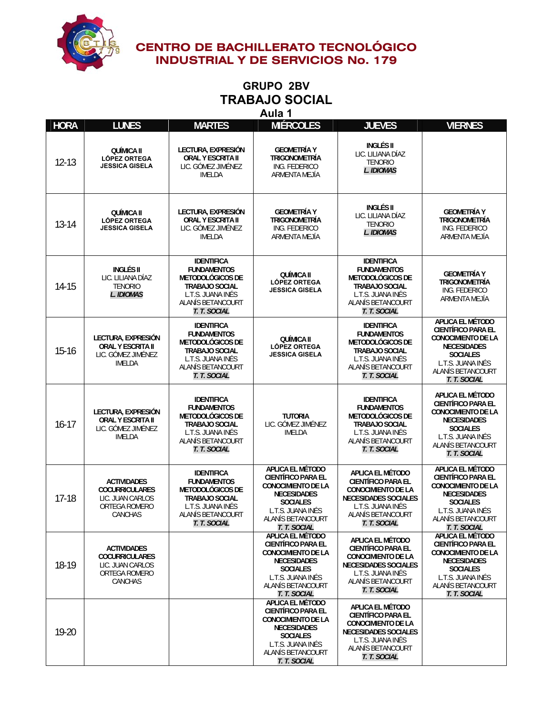

### **GRUPO 2BV TRABAJO SOCIAL Aula 1**

| <b>HORA</b> | <b>LUNES</b>                                                                                       | <b>MARTES</b>                                                                                                                                         | <b>MIÉRCOLES</b>                                                                                                                                                                     | <b>JUEVES</b>                                                                                                                                                              | <b>VIERNES</b>                                                                                                                                                                       |
|-------------|----------------------------------------------------------------------------------------------------|-------------------------------------------------------------------------------------------------------------------------------------------------------|--------------------------------------------------------------------------------------------------------------------------------------------------------------------------------------|----------------------------------------------------------------------------------------------------------------------------------------------------------------------------|--------------------------------------------------------------------------------------------------------------------------------------------------------------------------------------|
| $12 - 13$   | QUÍMICA II<br><b>LÓPEZ ORTEGA</b><br><b>JESSICA GISELA</b>                                         | LECTURA, EXPRESIÓN<br><b>ORAL Y ESCRITA II</b><br>LIC. GÓMEZ JIMÉNEZ<br><b>IMELDA</b>                                                                 | <b>GEOMETRÍA Y</b><br><b>TRIGONOMETRÍA</b><br>ING. FEDERICO<br>ARMENTA MEJÍA                                                                                                         | <b>INGLÉS II</b><br>LIC. LILIANA DÍAZ<br><b>TENORIO</b><br><b>L. IDIOMAS</b>                                                                                               |                                                                                                                                                                                      |
| $13 - 14$   | <b>QUÍMICA II</b><br><b>LÓPEZ ORTEGA</b><br><b>JESSICA GISELA</b>                                  | LECTURA, EXPRESIÓN<br><b>ORAL Y ESCRITA II</b><br>LIC. GÓMEZ JIMÉNEZ<br><b>IMELDA</b>                                                                 | <b>GEOMETRÍA Y</b><br><b>TRIGONOMETRÍA</b><br>ING. FEDERICO<br>ARMENTA MEJÍA                                                                                                         | <b>INGLÉS II</b><br>LIC. LILIANA DÍAZ<br><b>TENORIO</b><br><b>L. IDIOMAS</b>                                                                                               | <b>GEOMETRÍA Y</b><br><b>TRIGONOMETRÍA</b><br>ING. FEDERICO<br>ARMENTA MEJÍA                                                                                                         |
| 14-15       | <b>INGLÉS II</b><br>LIC. LILIANA DÍAZ<br><b>TENORIO</b><br>L. IDIOMAS                              | <b>IDENTIFICA</b><br><b>FUNDAMENTOS</b><br>METODOLÓGICOS DE<br><b>TRABAJO SOCIAL</b><br>L.T.S. JUANA INÉS<br>ALANÍS BETANCOURT<br>T. T. SOCIAL        | QUÍMICA II<br><b>LÓPEZ ORTEGA</b><br><b>JESSICA GISELA</b>                                                                                                                           | <b>IDENTIFICA</b><br><b>FUNDAMENTOS</b><br>METODOLÓGICOS DE<br><b>TRABAJO SOCIAL</b><br>L.T.S. JUANA INÉS<br>ALANÍS BETANCOURT<br>T. T. SOCIAL                             | <b>GEOMETRÍA Y</b><br><b>TRIGONOMETRÍA</b><br>ING. FEDERICO<br>ARMENTA MEJÍA                                                                                                         |
| $15 - 16$   | LECTURA, EXPRESIÓN<br><b>ORAL Y ESCRITA II</b><br>LIC. GÓMEZ JIMÉNEZ<br>IMELDA                     | <b>IDENTIFICA</b><br><b>FUNDAMENTOS</b><br><b>METODOLÓGICOS DE</b><br><b>TRABAJO SOCIAL</b><br>L.T.S. JUANA INÉS<br>ALANÍS BETANCOURT<br>T. T. SOCIAL | QUÍMICA II<br><b>LÓPEZ ORTEGA</b><br><b>JESSICA GISELA</b>                                                                                                                           | <b>IDENTIFICA</b><br><b>FUNDAMENTOS</b><br><b>METODOLÓGICOS DE</b><br><b>TRABAJO SOCIAL</b><br>L.T.S. JUANA INÉS<br>ALANÍS BETANCOURT<br>T. T. SOCIAL                      | <b>APLICA EL MÉTODO</b><br><b>CIENTÍFICO PARA EL</b><br><b>CONOCIMIENTO DE LA</b><br><b>NECESIDADES</b><br><b>SOCIALES</b><br>L.T.S. JUANA INÉS<br>ALANÍS BETANCOURT<br>T. T. SOCIAL |
| $16 - 17$   | LECTURA, EXPRESIÓN<br><b>ORAL Y ESCRITA II</b><br>LIC. GÓMEZ JIMÉNEZ<br>IMELDA                     | <b>IDENTIFICA</b><br><b>FUNDAMENTOS</b><br>METODOLÓGICOS DE<br><b>TRABAJO SOCIAL</b><br>L.T.S. JUANA INÉS<br>ALANÍS BETANCOURT<br>T. T. SOCIAL        | <b>TUTORIA</b><br>LIC. GÓMEZ JIMÉNEZ<br>IMELDA                                                                                                                                       | <b>IDENTIFICA</b><br><b>FUNDAMENTOS</b><br>METODOLÓGICOS DE<br><b>TRABAJO SOCIAL</b><br>L.T.S. JUANA INÉS<br>ALANÍS BETANCOURT<br>T. T. SOCIAL                             | APLICA EL MÉTODO<br><b>CIENTÍFICO PARA EL</b><br><b>CONOCIMIENTO DE LA</b><br><b>NECESIDADES</b><br><b>SOCIALES</b><br>L.T.S. JUANA INÉS<br>ALANIS BETANCOURT<br>T. T. SOCIAL        |
| $17-18$     | <b>ACTIVIDADES</b><br><b>COCURRICULARES</b><br>LIC. JUAN CARLOS<br>ORTEGA ROMERO<br>CANCHAS        | <b>IDENTIFICA</b><br><b>FUNDAMENTOS</b><br><b>METODOLÓGICOS DE</b><br><b>TRABAJO SOCIAL</b><br>L.T.S. JUANA INÉS<br>ALANIS BETANCOURT<br>T. T. SOCIAL | APLICA EL MÉTODO<br><b>CIENTÍFICO PARA EL</b><br><b>CONOCIMIENTO DE LA</b><br><b>NECESIDADES</b><br><b>SOCIALES</b><br>L.T.S. JUANA INÉS<br>ALANÍS BETANCOURT<br>T. T. SOCIAL        | <b>APLICA EL MÉTODO</b><br><b>CIENTÍFICO PARA EL</b><br><b>CONOCIMIENTO DE LA</b><br><b>NECESIDADES SOCIALES</b><br>L.T.S. JUANA INÉS<br>ALANÍS BETANCOURT<br>T. T. SOCIAL | APLICA EL MÉTODO<br><b>CIENTÍFICO PARA EL</b><br><b>CONOCIMIENTO DE LA</b><br><b>NECESIDADES</b><br><b>SOCIALES</b><br>L.T.S. JUANA INÉS<br>ALANIS BETANCOURT<br>T. T. SOCIAL        |
| 18-19       | <b>ACTIVIDADES</b><br><b>COCURRICULARES</b><br>LIC. JUAN CARLOS<br>ORTEGA ROMERO<br><b>CANCHAS</b> |                                                                                                                                                       | <b>APLICA EL MÉTODO</b><br><b>CIENTÍFICO PARA EL</b><br><b>CONOCIMIENTO DE LA</b><br><b>NECESIDADES</b><br><b>SOCIALES</b><br>L.T.S. JUANA INÉS<br>ALANIS BETANCOURT<br>T. T. SOCIAL | APLICA EL MÉTODO<br><b>CIENTÍFICO PARA EL</b><br><b>CONOCIMIENTO DE LA</b><br><b>NECESIDADES SOCIALES</b><br>L.T.S. JUANA INÉS<br>ALANÍS BETANCOURT<br>T. T. SOCIAL        | <b>APLICA EL MÉTODO</b><br><b>CIENTÍFICO PARA EL</b><br><b>CONOCIMIENTO DE LA</b><br><b>NECESIDADES</b><br><b>SOCIALES</b><br>L.T.S. JUANA INÉS<br>ALANÍS BETANCOURT<br>T. T. SOCIAL |
| 19-20       |                                                                                                    |                                                                                                                                                       | APLICA EL MÉTODO<br><b>CIENTÍFICO PARA EL</b><br><b>CONOCIMIENTO DE LA</b><br><b>NECESIDADES</b><br><b>SOCIALES</b><br>L.T.S. JUANA INÉS<br>ALANIS BETANCOURT<br>T. T. SOCIAL        | APLICA EL MÉTODO<br><b>CIENTÍFICO PARA EL</b><br><b>CONOCIMIENTO DE LA</b><br><b>NECESIDADES SOCIALES</b><br>L.T.S. JUANA INES<br>ALANÍS BETANCOURT<br>T. T. SOCIAL        |                                                                                                                                                                                      |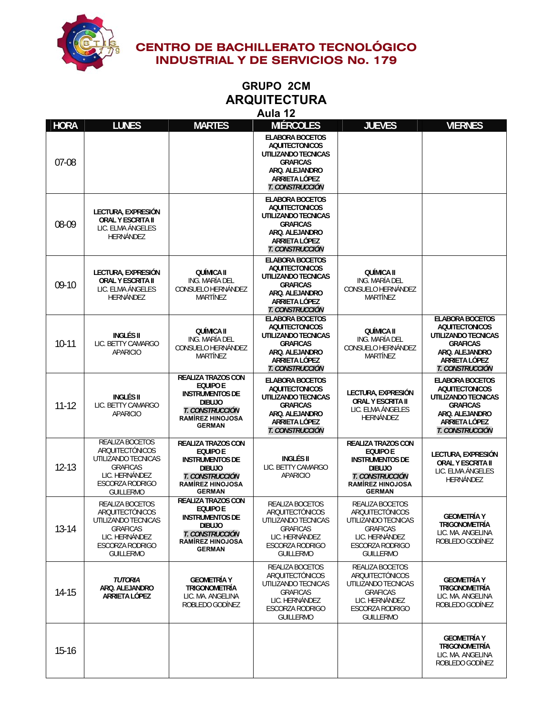

### **GRUPO 2CM ARQUITECTURA Aula 12**

| <b>HORA</b> | <b>LUNES</b>                                                                                                                                        | <b>MARTES</b>                                                                                                                                                 | <b>MIÉRCOLES</b>                                                                                                                                       | <b>JUEVES</b>                                                                                                                                                 | <b>VIERNES</b>                                                                                                                                         |
|-------------|-----------------------------------------------------------------------------------------------------------------------------------------------------|---------------------------------------------------------------------------------------------------------------------------------------------------------------|--------------------------------------------------------------------------------------------------------------------------------------------------------|---------------------------------------------------------------------------------------------------------------------------------------------------------------|--------------------------------------------------------------------------------------------------------------------------------------------------------|
| 07-08       |                                                                                                                                                     |                                                                                                                                                               | <b>ELABORA BOCETOS</b><br><b>AQUITECTONICOS</b><br>UTILIZANDO TECNICAS<br><b>GRAFICAS</b><br>ARQ. ALEJANDRO<br>ARRIETA LÓPEZ<br><b>T. CONSTRUCCIÓN</b> |                                                                                                                                                               |                                                                                                                                                        |
| 08-09       | LECTURA, EXPRESIÓN<br><b>ORAL Y ESCRITA II</b><br>LIC. ELMA ÁNGELES<br>HERNÁNDEZ                                                                    |                                                                                                                                                               | <b>ELABORA BOCETOS</b><br><b>AQUITECTONICOS</b><br>UTILIZANDO TECNICAS<br><b>GRAFICAS</b><br>ARQ. ALEJANDRO<br>ARRIETA LÓPEZ<br><b>T. CONSTRUCCIÓN</b> |                                                                                                                                                               |                                                                                                                                                        |
| $09-10$     | LECTURA, EXPRESIÓN<br><b>ORAL Y ESCRITA II</b><br>LIC. ELMA ÁNGELES<br>HERNÁNDEZ                                                                    | QUÍMICA II<br>ING. MARÍA DEL<br>CONSUELO HERNÁNDEZ<br>MARTÍNEZ                                                                                                | <b>ELABORA BOCETOS</b><br><b>AQUITECTONICOS</b><br>UTILIZANDO TECNICAS<br><b>GRAFICAS</b><br>ARQ. ALEJANDRO<br>ARRIETA LÓPEZ<br>T. CONSTRUCCIÓN        | QUÍMICA II<br>ING. MARÍA DEL<br>CONSUELO HERNÁNDEZ<br><b>MARTÍNEZ</b>                                                                                         |                                                                                                                                                        |
| $10-11$     | <b>INGLÉS II</b><br>LIC. BETTY CAMARGO<br><b>APARICIO</b>                                                                                           | <b>QUÍMICA II</b><br>ING. MARÍA DEL<br>CONSUELO HERNÁNDEZ<br>MARTÍNEZ                                                                                         | <b>ELABORA BOCETOS</b><br><b>AQUITECTONICOS</b><br>UTILIZANDO TECNICAS<br><b>GRAFICAS</b><br>ARQ. ALEJANDRO<br>ARRIETA LÓPEZ<br><b>T. CONSTRUCCIÓN</b> | <b>QUÍMICA II</b><br>ING. MARÍA DEL<br>CONSUELO HERNÁNDEZ<br>MARTÍNEZ                                                                                         | <b>ELABORA BOCETOS</b><br><b>AQUITECTONICOS</b><br>UTILIZANDO TECNICAS<br><b>GRAFICAS</b><br>ARQ. ALEJANDRO<br>ARRIETA LÓPEZ<br><b>T. CONSTRUCCIÓN</b> |
| $11 - 12$   | INGLÉS II<br>LIC. BETTY CAMARGO<br><b>APARICIO</b>                                                                                                  | <b>REALIZA TRAZOS CON</b><br><b>EQUIPO E</b><br><b>INSTRUMENTOS DE</b><br><b>DIBUJO</b><br><b>T. CONSTRUCCIÓN</b><br><b>RAMÍREZ HINOJOSA</b><br><b>GERMAN</b> | <b>ELABORA BOCETOS</b><br><b>AQUITECTONICOS</b><br>UTILIZANDO TECNICAS<br><b>GRAFICAS</b><br>ARQ. ALEJANDRO<br>ARRIETA LÓPEZ<br><b>T. CONSTRUCCIÓN</b> | LECTURA, EXPRESIÓN<br><b>ORAL Y ESCRITA II</b><br>LIC. ELMA ÁNGELES<br>HERNÁNDEZ                                                                              | <b>ELABORA BOCETOS</b><br><b>AQUITECTONICOS</b><br>UTILIZANDO TECNICAS<br><b>GRAFICAS</b><br>ARQ. ALEJANDRO<br>ARRIETA LÓPEZ<br><b>T. CONSTRUCCIÓN</b> |
| $12 - 13$   | REALIZA BOCETOS<br>ARQUITECTÓNICOS<br>UTILIZANDO TECNICAS<br><b>GRAFICAS</b><br>LIC. HERNÁNDEZ<br><b>ESCORZA RODRIGO</b><br><b>GUILLERMO</b>        | REALIZA TRAZOS CON<br><b>EQUIPO E</b><br><b>INSTRUMENTOS DE</b><br><b>DIBUJO</b><br><b>T. CONSTRUCCIÓN</b><br><b>RAMÍREZ HINOJOSA</b><br><b>GERMAN</b>        | <b>INGLÉS II</b><br>LIC. BETTY CAMARGO<br><b>APARICIO</b>                                                                                              | <b>REALIZA TRAZOS CON</b><br><b>EQUIPO E</b><br><b>INSTRUMENTOS DE</b><br><b>DIBUJO</b><br><b>T. CONSTRUCCIÓN</b><br><b>RAMÍREZ HINOJOSA</b><br><b>GERMAN</b> | LECTURA, EXPRESIÓN<br>ORAL Y ESCRITA II<br>LIC. ELMA ÁNGELES<br>HERNANDEZ                                                                              |
| 13-14       | REALIZA BOCETOS<br><b>ARQUITECTÓNICOS</b><br>UTILIZANDO TECNICAS<br><b>GRAFICAS</b><br>LIC. HERNÁNDEZ<br><b>ESCORZA RODRIGO</b><br><b>GUILLERMO</b> | <b>REALIZA TRAZOS CON</b><br><b>EQUIPO E</b><br><b>INSTRUMENTOS DE</b><br><b>DIBUJO</b><br><b>T. CONSTRUCCIÓN</b><br><b>RAMÍREZ HINOJOSA</b><br><b>GERMAN</b> | REALIZA BOCETOS<br>ARQUITECTÓNICOS<br>UTILIZANDO TECNICAS<br><b>GRAFICAS</b><br>LIC. HERNÁNDEZ<br>ESCORZA RODRIGO<br><b>GUILLERMO</b>                  | REALIZA BOCETOS<br>ARQUITECTÓNICOS<br>UTILIZANDO TECNICAS<br><b>GRAFICAS</b><br>LIC. HERNÁNDEZ<br><b>ESCORZA RODRIGO</b><br><b>GUILLERMO</b>                  | <b>GEOMETRÍA Y</b><br><b>TRIGONOMETRÍA</b><br>LIC. MA. ANGELINA<br>ROBLEDO GODÍNEZ                                                                     |
| $14-15$     | TUTORIA<br>ARQ. ALEJANDRO<br>ARRIETA LÓPEZ                                                                                                          | <b>GEOMETRÍA Y</b><br><b>TRIGONOMETRÍA</b><br>LIC. MA. ANGELINA<br>ROBLEDO GODÍNEZ                                                                            | REALIZA BOCETOS<br>ARQUITECTÓNICOS<br>UTILIZANDO TECNICAS<br><b>GRAFICAS</b><br>LIC. HERNÁNDEZ<br>ESCORZA RODRIGO<br><b>GUILLERMO</b>                  | REALIZA BOCETOS<br>ARQUITECTÓNICOS<br>UTILIZANDO TECNICAS<br><b>GRAFICAS</b><br>LIC. HERNÁNDEZ<br><b>ESCORZA RODRIGO</b><br><b>GUILLERMO</b>                  | <b>GEOMETRÍA Y</b><br><b>TRIGONOMETRÍA</b><br>LIC. MA. ANGELINA<br>ROBLEDO GODÍNEZ                                                                     |
| $15 - 16$   |                                                                                                                                                     |                                                                                                                                                               |                                                                                                                                                        |                                                                                                                                                               | <b>GEOMETRÍA Y</b><br><b>TRIGONOMETRÍA</b><br>LIC. MA. ANGELINA<br>ROBLEDO GODÍNEZ                                                                     |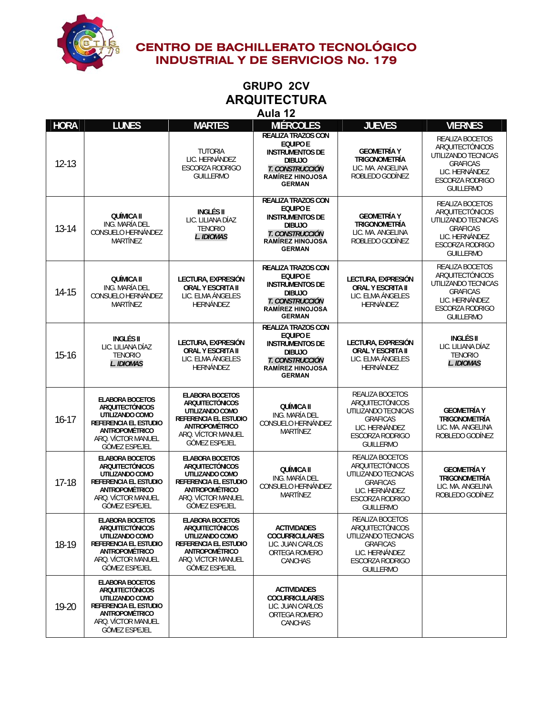

### **GRUPO 2CV ARQUITECTURA Aula 12**

| <b>HORA</b> | <b>LUNES</b>                                                                                                                                                        | <b>MARTES</b>                                                                                                                                                       | <b>MIÉRCOLES</b>                                                                                                                                              | <b>JUEVES</b>                                                                                                                                       | <b>VIERNES</b>                                                                                                                               |
|-------------|---------------------------------------------------------------------------------------------------------------------------------------------------------------------|---------------------------------------------------------------------------------------------------------------------------------------------------------------------|---------------------------------------------------------------------------------------------------------------------------------------------------------------|-----------------------------------------------------------------------------------------------------------------------------------------------------|----------------------------------------------------------------------------------------------------------------------------------------------|
| $12 - 13$   |                                                                                                                                                                     | <b>TUTORIA</b><br>LIC. HERNÁNDEZ<br>ESCORZA RODRIGO<br><b>GUILLERMO</b>                                                                                             | <b>REALIZA TRAZOS CON</b><br><b>EQUIPO E</b><br><b>INSTRUMENTOS DE</b><br><b>DIBUJO</b><br>T. CONSTRUCCIÓN<br><b>RAMÍREZ HINOJOSA</b><br><b>GERMAN</b>        | <b>GEOMETRÍA Y</b><br><b>TRIGONOMETRÍA</b><br>LIC. MA. ANGELINA<br>ROBLEDO GODÍNEZ                                                                  | REALIZA BOCETOS<br>ARQUITECTÓNICOS<br>UTILIZANDO TECNICAS<br><b>GRAFICAS</b><br>LIC. HERNÁNDEZ<br><b>ESCORZA RODRIGO</b><br><b>GUILLERMO</b> |
| $13 - 14$   | QUÍMICA II<br>ING. MARÍA DEL<br>CONSUELO HERNÁNDEZ<br>MARTÍNEZ                                                                                                      | INGLÉS II<br>LIC. LILIANA DÍAZ<br><b>TENORIO</b><br>L. IDIOMAS                                                                                                      | <b>REALIZA TRAZOS CON</b><br><b>EQUIPO E</b><br><b>INSTRUMENTOS DE</b><br><b>DIBUJO</b><br><b>T. CONSTRUCCIÓN</b><br><b>RAMÍREZ HINOJOSA</b><br><b>GERMAN</b> | <b>GEOMETRÍA Y</b><br><b>TRIGONOMETRÍA</b><br>LIC. MA. ANGELINA<br>ROBLEDO GODÍNEZ                                                                  | REALIZA BOCETOS<br>ARQUITECTÓNICOS<br>UTILIZANDO TECNICAS<br><b>GRAFICAS</b><br>LIC. HERNÁNDEZ<br><b>ESCORZA RODRIGO</b><br><b>GUILLERMO</b> |
| 14-15       | QUÍMICA II<br>ING. MARÍA DEL<br>CONSUELO HERNÁNDEZ<br>MARTÍNEZ                                                                                                      | LECTURA, EXPRESIÓN<br>ORAL Y ESCRITA II<br>LIC. ELMA ÁNGELES<br>HERNÁNDEZ                                                                                           | <b>REALIZA TRAZOS CON</b><br><b>EQUIPO E</b><br><b>INSTRUMENTOS DE</b><br><b>DIBUJO</b><br><b>T. CONSTRUCCIÓN</b><br><b>RAMÍREZ HINOJOSA</b><br><b>GERMAN</b> | LECTURA, EXPRESIÓN<br><b>ORAL Y ESCRITA II</b><br>LIC. ELMA ÁNGELES<br>HERNÁNDEZ                                                                    | REALIZA BOCETOS<br><b>ARQUITECTÓNICOS</b><br>UTILIZANDO TECNICAS<br><b>GRAFICAS</b><br>LIC. HERNÁNDEZ<br>ESCORZA RODRIGO<br><b>GUILLERMO</b> |
| $15 - 16$   | INGLÉS II<br>LIC. LILIANA DÍAZ<br><b>TENORIO</b><br>L. IDIOMAS                                                                                                      | LECTURA, EXPRESIÓN<br>ORAL Y ESCRITA II<br>LIC. ELMA ÁNGELES<br>HERNÁNDEZ                                                                                           | <b>REALIZA TRAZOS CON</b><br><b>EQUIPO E</b><br><b>INSTRUMENTOS DE</b><br><b>DIBUJO</b><br><b>T. CONSTRUCCIÓN</b><br><b>RAMÍREZ HINOJOSA</b><br><b>GERMAN</b> | LECTURA, EXPRESIÓN<br><b>ORAL Y ESCRITA II</b><br>LIC. ELMA ÁNGELES<br>HERNÁNDEZ                                                                    | <b>INGLÉS II</b><br>LIC. LILIANA DÍAZ<br><b>TENORIO</b><br>L. IDIOMAS                                                                        |
| $16 - 17$   | <b>ELABORA BOCETOS</b><br><b>ARQUITECTÓNICOS</b><br>UTILIZANDO COMO<br><b>REFERENCIA EL ESTUDIO</b><br>ANTROPOMÉTRICO<br>ARQ. VÍCTOR MANUEL<br><b>GÓMEZ ESPEJEL</b> | <b>ELABORA BOCETOS</b><br><b>ARQUITECTÓNICOS</b><br>UTILIZANDO COMO<br><b>REFERENCIA EL ESTUDIO</b><br>ANTROPOMÉTRICO<br>ARQ. VÍCTOR MANUEL<br><b>GÓMEZ ESPEJEL</b> | QUÍMICA II<br>ING. MARÍA DEL<br>CONSUELO HERNÁNDEZ<br><b>MARTÍNEZ</b>                                                                                         | REALIZA BOCETOS<br><b>ARQUITECTÓNICOS</b><br>UTILIZANDO TECNICAS<br><b>GRAFICAS</b><br>LIC. HERNÁNDEZ<br><b>ESCORZA RODRIGO</b><br><b>GUILLERMO</b> | <b>GEOMETRÍA Y</b><br><b>TRIGONOMETRÍA</b><br>LIC. MA. ANGELINA<br>ROBLEDO GODÍNEZ                                                           |
| $17-18$     | <b>ELABORA BOCETOS</b><br><b>ARQUITECTÓNICOS</b><br>UTILIZANDO COMO<br><b>REFERENCIA EL ESTUDIO</b><br>ANTROPOMÉTRICO<br>ARQ. VÍCTOR MANUEL<br><b>GÓMEZ ESPEJEL</b> | <b>ELABORA BOCETOS</b><br><b>ARQUITECTÓNICOS</b><br>UTILIZANDO COMO<br><b>REFERENCIA EL ESTUDIO</b><br>ANTROPOMÉTRICO<br>ARQ. VÍCTOR MANUEL<br>GÓMEZ ESPEJEL        | <b>QUÍMICA II</b><br>ING. MARÍA DEL<br>CONSUELO HERNÁNDEZ<br>MARTÍNEZ                                                                                         | REALIZA BOCETOS<br>ARQUITECTÓNICOS<br>UTILIZANDO TECNICAS<br><b>GRAFICAS</b><br>LIC. HERNÁNDEZ<br>ESCORZA RODRIGO<br><b>GUILLERMO</b>               | <b>GEOMETRÍA Y</b><br><b>TRIGONOMETRÍA</b><br>LIC. MA. ANGELINA<br>ROBLEDO GODÍNEZ                                                           |
| 18-19       | <b>ELABORA BOCETOS</b><br><b>ARQUITECTÓNICOS</b><br>UTILIZANDO COMO<br><b>REFERENCIA EL ESTUDIO</b><br>ANTROPOMÉTRICO<br>ARQ. VÍCTOR MANUEL<br><b>GÓMEZ ESPEJEL</b> | <b>ELABORA BOCETOS</b><br><b>ARQUITECTÓNICOS</b><br>UTILIZANDO COMO<br><b>REFERENCIA EL ESTUDIO</b><br>ANTROPOMÉTRICO<br>ARQ. VÍCTOR MANUEL<br><b>GÓMEZ ESPEJEL</b> | <b>ACTIVIDADES</b><br><b>COCURRICULARES</b><br>LIC. JUAN CARLOS<br>ORTEGA ROMERO<br>CANCHAS                                                                   | REALIZA BOCETOS<br>ARQUITECTONICOS<br>UTILIZANDO TECNICAS<br><b>GRAFICAS</b><br>LIC. HERNÁNDEZ<br><b>ESCORZA RODRIGO</b><br><b>GUILLERMO</b>        |                                                                                                                                              |
| 19-20       | <b>ELABORA BOCETOS</b><br><b>ARQUITECTÓNICOS</b><br>UTILIZANDO COMO<br><b>REFERENCIA EL ESTUDIO</b><br>ANTROPOMÉTRICO<br>ARO. VÍCTOR MANUEL<br><b>GÓMEZ ESPEJEL</b> |                                                                                                                                                                     | <b>ACTIVIDADES</b><br><b>COCURRICULARES</b><br>LIC. JUAN CARLOS<br>ORTEGA ROMERO<br>CANCHAS                                                                   |                                                                                                                                                     |                                                                                                                                              |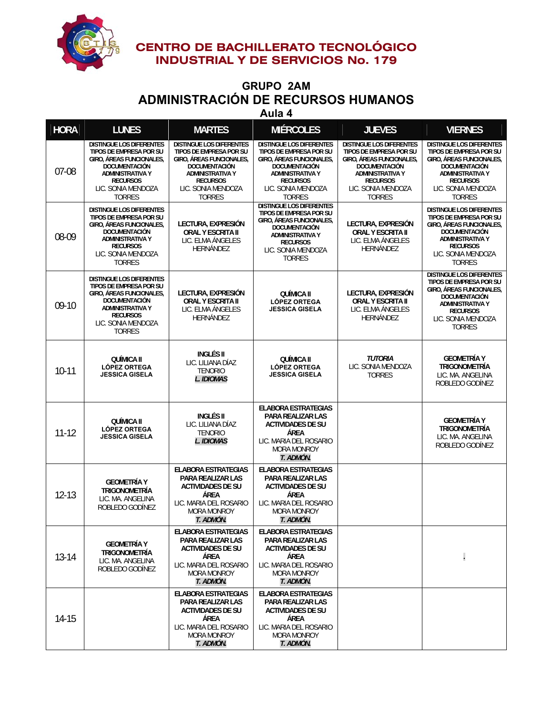

# **GRUPO 2AM ADMINISTRACIÓN DE RECURSOS HUMANOS**

**Aula 4**

| <b>HORA</b> | <b>LUNES</b>                                                                                                                                                                                               | <b>MARTES</b>                                                                                                                                                                                              | <b>MIÉRCOLES</b>                                                                                                                                                                                    | <b>JUEVES</b>                                                                                                                                                                                              | <b>VIERNES</b>                                                                                                                                                                                      |
|-------------|------------------------------------------------------------------------------------------------------------------------------------------------------------------------------------------------------------|------------------------------------------------------------------------------------------------------------------------------------------------------------------------------------------------------------|-----------------------------------------------------------------------------------------------------------------------------------------------------------------------------------------------------|------------------------------------------------------------------------------------------------------------------------------------------------------------------------------------------------------------|-----------------------------------------------------------------------------------------------------------------------------------------------------------------------------------------------------|
| 07-08       | <b>DISTINGUE LOS DIFERENTES</b><br>TIPOS DE EMPRESA POR SU<br><b>GIRO, ÁREAS FUNCIONALES,</b><br><b>DOCUMENTACIÓN</b><br><b>ADMINISTRATIVA Y</b><br><b>RECURSOS</b><br>LIC. SONIA MENDOZA<br><b>TORRES</b> | <b>DISTINGUE LOS DIFERENTES</b><br>TIPOS DE EMPRESA POR SU<br><b>GIRO, ÁREAS FUNCIONALES,</b><br><b>DOCUMENTACIÓN</b><br><b>ADMINISTRATIVA Y</b><br><b>RECURSOS</b><br>LIC. SONIA MENDOZA<br><b>TORRES</b> | <b>DISTINGUE LOS DIFERENTES</b><br>TIPOS DE EMPRESA POR SU<br>GIRO, ÁREAS FUNCIONALES,<br><b>DOCUMENTACIÓN</b><br><b>ADMINISTRATIVA Y</b><br><b>RECURSOS</b><br>LIC. SONIA MENDOZA<br><b>TORRES</b> | <b>DISTINGUE LOS DIFERENTES</b><br>TIPOS DE EMPRESA POR SU<br><b>GIRO, ÁREAS FUNCIONALES,</b><br><b>DOCUMENTACIÓN</b><br><b>ADMINISTRATIVA Y</b><br><b>RECURSOS</b><br>LIC. SONIA MENDOZA<br><b>TORRES</b> | <b>DISTINGUE LOS DIFERENTES</b><br>TIPOS DE EMPRESA POR SU<br>GIRO, ÁREAS FUNCIONALES,<br><b>DOCUMENTACIÓN</b><br><b>ADMINISTRATIVA Y</b><br><b>RECURSOS</b><br>LIC. SONIA MENDOZA<br><b>TORRES</b> |
| 08-09       | <b>DISTINGUE LOS DIFERENTES</b><br>TIPOS DE EMPRESA POR SU<br><b>GIRO, ÁREAS FUNCIONALES.</b><br><b>DOCUMENTACIÓN</b><br><b>ADMINISTRATIVA Y</b><br><b>RECURSOS</b><br>LIC. SONIA MENDOZA<br><b>TORRES</b> | LECTURA, EXPRESIÓN<br><b>ORAL Y ESCRITA II</b><br>LIC. ELMA ANGELES<br>HERNÁNDEZ                                                                                                                           | <b>DISTINGUE LOS DIFERENTES</b><br>TIPOS DE EMPRESA POR SU<br><b>GIRO, ÁREAS FUNCIONALES.</b><br>DOCUMENTACIÓN<br><b>ADMINISTRATIVA Y</b><br><b>RECURSOS</b><br>LIC. SONIA MENDOZA<br><b>TORRES</b> | LECTURA, EXPRESIÓN<br><b>ORAL Y ESCRITA II</b><br>LIC. ELMA ÁNGELES<br>HERNÁNDEZ                                                                                                                           | <b>DISTINGUE LOS DIFERENTES</b><br>TIPOS DE EMPRESA POR SU<br>GIRO, ÁREAS FUNCIONALES,<br>DOCUMENTACIÓN<br><b>ADMINISTRATIVA Y</b><br><b>RECURSOS</b><br>LIC. SONIA MENDOZA<br><b>TORRES</b>        |
| $09-10$     | <b>DISTINGUE LOS DIFERENTES</b><br>TIPOS DE EMPRESA POR SU<br>GIRO, ÁREAS FUNCIONALES,<br><b>DOCUMENTACIÓN</b><br><b>ADMINISTRATIVA Y</b><br><b>RECURSOS</b><br>LIC. SONIA MENDOZA<br><b>TORRES</b>        | LECTURA, EXPRESIÓN<br><b>ORAL Y ESCRITA II</b><br>LIC. ELMA ÁNGELES<br>HERNÁNDEZ                                                                                                                           | <b>QUÍMICA II</b><br><b>LÓPEZ ORTEGA</b><br><b>JESSICA GISELA</b>                                                                                                                                   | LECTURA, EXPRESIÓN<br>ORAL Y ESCRITA II<br>LIC. ELMA ÁNGELES<br>HERNÁNDEZ                                                                                                                                  | <b>DISTINGUE LOS DIFERENTES</b><br>TIPOS DE EMPRESA POR SU<br>GIRO, ÁREAS FUNCIONALES,<br><b>DOCUMENTACIÓN</b><br><b>ADMINISTRATIVA Y</b><br><b>RECURSOS</b><br>LIC. SONIA MENDOZA<br><b>TORRES</b> |
| $10-11$     | QUÍMICA II<br><b>LÓPEZ ORTEGA</b><br><b>JESSICA GISELA</b>                                                                                                                                                 | <b>INGLÉS II</b><br>LIC. LILIANA DÍAZ<br><b>TENORIO</b><br>L. IDIOMAS                                                                                                                                      | <b>QUÍMICA II</b><br><b>LÓPEZ ORTEGA</b><br><b>JESSICA GISELA</b>                                                                                                                                   | <b>TUTORIA</b><br>LIC. SONIA MENDOZA<br><b>TORRES</b>                                                                                                                                                      | <b>GEOMETRÍA Y</b><br><b>TRIGONOMETRÍA</b><br>LIC. MA. ANGELINA<br>ROBLEDO GODÍNEZ                                                                                                                  |
| $11 - 12$   | QUÍMICA II<br><b>LÓPEZ ORTEGA</b><br><b>JESSICA GISELA</b>                                                                                                                                                 | <b>INGLÉS II</b><br>LIC. LILIANA DÍAZ<br><b>TENORIO</b><br><b>L. IDIOMAS</b>                                                                                                                               | <b>ELABORA ESTRATEGIAS</b><br>PARA REALIZAR LAS<br><b>ACTIVIDADES DE SU</b><br>ÁREA<br>LIC. MARIA DEL ROSARIO<br><b>MORA MONROY</b><br>T. ADMÓN.                                                    |                                                                                                                                                                                                            | <b>GEOMETRÍA Y</b><br><b>TRIGONOMETRÍA</b><br>LIC. MA. ANGELINA<br>ROBLEDO GODÍNEZ                                                                                                                  |
| $12 - 13$   | <b>GEOMETRÍA Y</b><br><b>TRIGONOMETRÍA</b><br>LIC. MA. ANGELINA<br>ROBLEDO GODÍNEZ                                                                                                                         | <b>ELABORA ESTRATEGIAS</b><br>PARA REALIZAR LAS<br><b>ACTIVIDADES DE SU</b><br>ÁREA<br>LIC. MARIA DEL ROSARIO<br>MORA MONROY<br>t. Admón.                                                                  | <b>ELABORA ESTRATEGIAS</b><br>PARA REALIZAR LAS<br><b>ACTIVIDADES DE SU</b><br>ÁREA<br>LIC. MARIA DEL ROSARIO<br><b>MORA MONROY</b><br>T. ADMÓN.                                                    |                                                                                                                                                                                                            |                                                                                                                                                                                                     |
| 13-14       | <b>GEOMETRÍA Y</b><br><b>TRIGONOMETRÍA</b><br>LIC. MA. ANGELINA<br>ROBLEDO GODÍNEZ                                                                                                                         | <b>ELABORA ESTRATEGIAS</b><br><b>PARA REALIZAR LAS</b><br><b>ACTIVIDADES DE SU</b><br>ÁREA<br>LIC. MARIA DEL ROSARIO<br>MORA MONROY<br>T. ADMON.                                                           | <b>ELABORA ESTRATEGIAS</b><br><b>PARA REALIZAR LAS</b><br><b>ACTIVIDADES DE SU</b><br>ÁREA<br>LIC. MARIA DEL ROSARIO<br><b>MORA MONROY</b><br>T. ADMON.                                             |                                                                                                                                                                                                            |                                                                                                                                                                                                     |
| $14 - 15$   |                                                                                                                                                                                                            | <b>ELABORA ESTRATEGIAS</b><br>PARA REALIZAR LAS<br><b>ACTIVIDADES DE SU</b><br>ÁREA<br>LIC. MARIA DEL ROSARIO<br>MORA MONROY<br>t. Admón.                                                                  | <b>ELABORA ESTRATEGIAS</b><br>PARA REALIZAR LAS<br><b>ACTIVIDADES DE SU</b><br>ÁREA<br>LIC. MARIA DEL ROSARIO<br>MORA MONROY<br>t. Admón.                                                           |                                                                                                                                                                                                            |                                                                                                                                                                                                     |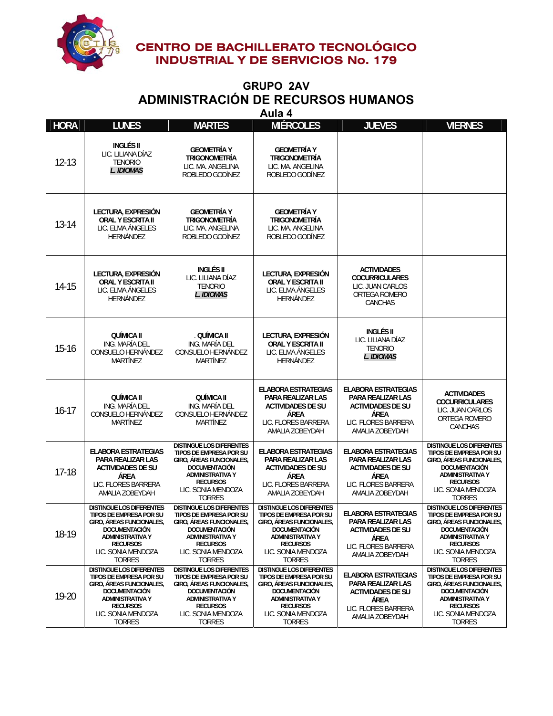

# **GRUPO 2AV ADMINISTRACIÓN DE RECURSOS HUMANOS**

**Aula 4** 

| <b>HORA</b> | <b>LUNES</b>                                                                                                                                                                                 | <b>MARTES</b>                                                                                                                                                                                       | <b>MIÉRCOLES</b>                                                                                                                                                                                    | <b>JUEVES</b>                                                                                                                        | <b>VIERNES</b>                                                                                                                                                                                             |
|-------------|----------------------------------------------------------------------------------------------------------------------------------------------------------------------------------------------|-----------------------------------------------------------------------------------------------------------------------------------------------------------------------------------------------------|-----------------------------------------------------------------------------------------------------------------------------------------------------------------------------------------------------|--------------------------------------------------------------------------------------------------------------------------------------|------------------------------------------------------------------------------------------------------------------------------------------------------------------------------------------------------------|
| $12 - 13$   | INGLÉS II<br>LIC. LILIANA DÍAZ<br><b>TENORIO</b><br>L. IDIOMAS                                                                                                                               | GEOMETRÍA Y<br><b>TRIGONOMETRÍA</b><br>LIC. MA. ANGELINA<br>ROBLEDO GODÍNEZ                                                                                                                         | <b>GEOMETRÍA Y</b><br><b>TRIGONOMETRÍA</b><br>LIC. MA. ANGELINA<br>ROBLEDO GODÍNEZ                                                                                                                  |                                                                                                                                      |                                                                                                                                                                                                            |
| 13-14       | LECTURA, EXPRESIÓN<br><b>ORAL Y ESCRITA II</b><br>LIC. ELMA ÁNGELES<br>HERNÁNDEZ                                                                                                             | <b>GEOMETRÍA Y</b><br><b>TRIGONOMETRÍA</b><br>LIC. MA. ANGELINA<br>ROBLEDO GODÍNEZ                                                                                                                  | <b>GEOMETRÍA Y</b><br><b>TRIGONOMETRÍA</b><br>LIC. MA. ANGELINA<br>ROBLEDO GODÍNEZ                                                                                                                  |                                                                                                                                      |                                                                                                                                                                                                            |
| 14-15       | LECTURA, EXPRESIÓN<br><b>ORAL Y ESCRITA II</b><br>LIC. ELMA ÁNGELES<br>HERNÁNDEZ                                                                                                             | <b>INGLÉS II</b><br>LIC. LILIANA DÍAZ<br><b>TENORIO</b><br>L. IDIOMAS                                                                                                                               | LECTURA, EXPRESIÓN<br><b>ORAL Y ESCRITA II</b><br>LIC. ELMA ÁNGELES<br>HERNÁNDEZ                                                                                                                    | <b>ACTIVIDADES</b><br><b>COCURRICULARES</b><br>LIC. JUAN CARLOS<br>ORTEGA ROMERO<br><b>CANCHAS</b>                                   |                                                                                                                                                                                                            |
| $15 - 16$   | QUÍMICA II<br>ING. MARÍA DEL<br>CONSUELO HERNÁNDEZ<br>MARTÍNEZ                                                                                                                               | <b>QUÍMICA II</b><br>ING. MARÍA DEL<br>CONSUELO HERNÁNDEZ<br>MARTÍNEZ                                                                                                                               | LECTURA, EXPRESIÓN<br><b>ORAL Y ESCRITA II</b><br>LIC. ELMA ÁNGELES<br>HERNÁNDEZ                                                                                                                    | <b>INGLÉS II</b><br>LIC. LILIANA DÍAZ<br><b>TENORIO</b><br><b>L. IDIOMAS</b>                                                         |                                                                                                                                                                                                            |
| $16-17$     | QUÍMICA II<br>ING. MARÍA DEL<br>CONSUELO HERNÁNDEZ<br>MARTÍNEZ                                                                                                                               | QUÍMICA II<br>ING. MARÍA DEL<br>CONSUELO HERNÁNDEZ<br><b>MARTÍNEZ</b>                                                                                                                               | <b>ELABORA ESTRATEGIAS</b><br>PARA REALIZAR LAS<br><b>ACTIVIDADES DE SU</b><br>ÁREA<br>LIC. FLORES BARRERA<br>AMALIA ZOBEYDAH                                                                       | <b>ELABORA ESTRATEGIAS</b><br>PARA REALIZAR LAS<br><b>ACTIVIDADES DE SU</b><br>ÁREA<br>LIC. FLORES BARRERA<br>AMALIA ZOBEYDAH        | <b>ACTIVIDADES</b><br><b>COCURRICULARES</b><br>LIC. JUAN CARLOS<br>ORTEGA ROMERO<br>CANCHAS                                                                                                                |
| $17 - 18$   | <b>ELABORA ESTRATEGIAS</b><br>PARA REALIZAR LAS<br><b>ACTIVIDADES DE SU</b><br>ÁREA<br>LIC. FLORES BARRERA<br>AMALIA ZOBEYDAH                                                                | <b>DISTINGUE LOS DIFERENTES</b><br>TIPOS DE EMPRESA POR SU<br>GIRO, ÁREAS FUNCIONALES,<br><b>DOCUMENTACIÓN</b><br><b>ADMINISTRATIVA Y</b><br><b>RECURSOS</b><br>LIC. SONIA MENDOZA<br><b>TORRES</b> | <b>ELABORA ESTRATEGIAS</b><br>PARA REALIZAR LAS<br><b>ACTIVIDADES DE SU</b><br>ÁREA<br>LIC. FLORES BARRERA<br>AMALIA ZOBEYDAH                                                                       | <b>ELABORA ESTRATEGIAS</b><br>PARA REALIZAR LAS<br><b>ACTIVIDADES DE SU</b><br>ÁREA<br>LIC. FLORES BARRERA<br>AMALIA ZOBEYDAH        | <b>DISTINGUE LOS DIFERENTES</b><br>TIPOS DE EMPRESA POR SU<br>GIRO, ÁREAS FUNCIONALES,<br><b>DOCUMENTACIÓN</b><br><b>ADMINISTRATIVA Y</b><br><b>RECURSOS</b><br>LIC. SONIA MENDOZA<br><b>TORRES</b>        |
| 18-19       | <b>DISTINGUE LOS DIFERENTES</b><br>TIPOS DE EMPRESA POR SU<br>GIRO, ÁREAS FUNCIONALES,<br><b>DOCUMENTACIÓN</b><br>ADMINISTRATIVA Y<br><b>RECURSOS</b><br>LIC. SONIA MENDOZA<br><b>TORRES</b> | <b>DISTINGUE LOS DIFERENTES</b><br>TIPOS DE EMPRESA POR SU<br>GIRO, ÁREAS FUNCIONALES,<br><b>DOCUMENTACIÓN</b><br><b>ADMINISTRATIVA Y</b><br><b>RECURSOS</b><br>LIC. SONIA MENDOZA<br><b>TORRES</b> | <b>DISTINGUE LOS DIFERENTES</b><br>TIPOS DE EMPRESA POR SU<br>GIRO, ÁREAS FUNCIONALES,<br><b>DOCUMENTACIÓN</b><br><b>ADMINISTRATIVA Y</b><br><b>RECURSOS</b><br>LIC. SONIA MENDOZA<br><b>TORRES</b> | <b>ELABORA ESTRATEGIAS</b><br>PARA REALIZAR LAS<br><b>ACTIVIDADES DE SU</b><br>ÁREA<br>LIC. FLORES BARRERA<br>AMALIA ZOBEYDAH        | DISTINGUE LOS DIFERENTES<br>TIPOS DE EMPRESA POR SU<br>GIRO, ÁREAS FUNCIONALES,<br>DOCUMENTACIÓN<br><b>ADMINISTRATIVA Y</b><br><b>RECURSOS</b><br>LIC. SONIA MENDOZA<br><b>TORRES</b>                      |
| 19-20       | <b>DISTINGUE LOS DIFERENTES</b><br>TIPOS DE EMPRESA POR SU<br>GIRO, ÁREAS FUNCIONALES,<br>DOCUMENTACIÓN<br>ADMINISTRATIVA Y<br><b>RECURSOS</b><br>LIC. SONIA MENDOZA<br><b>TORRES</b>        | <b>DISTINGUE LOS DIFERENTES</b><br>TIPOS DE EMPRESA POR SU<br><b>GIRO, ÁREAS FUNCIONALES.</b><br>DOCUMENTACIÓN<br><b>ADMINISTRATIVA Y</b><br><b>RECURSOS</b><br>LIC. SONIA MENDOZA<br><b>TORRES</b> | DISTINGUE LOS DIFERENTES<br>TIPOS DE EMPRESA POR SU<br>GIRO, ÁREAS FUNCIONALES,<br>DOCUMENTACIÓN<br><b>ADMINISTRATIVA Y</b><br><b>RECURSOS</b><br>LIC. SONIA MENDOZA<br><b>TORRES</b>               | <b>ELABORA ESTRATEGIAS</b><br><b>PARA REALIZAR LAS</b><br><b>ACTIVIDADES DE SU</b><br>ÁREA<br>LIC. FLORES BARRERA<br>AMALIA ZOBEYDAH | <b>DISTINGUE LOS DIFERENTES</b><br>TIPOS DE EMPRESA POR SU<br><b>GIRO, ÁREAS FUNCIONALES.</b><br><b>DOCUMENTACIÓN</b><br><b>ADMINISTRATIVA Y</b><br><b>RECURSOS</b><br>LIC. SONIA MENDOZA<br><b>TORRES</b> |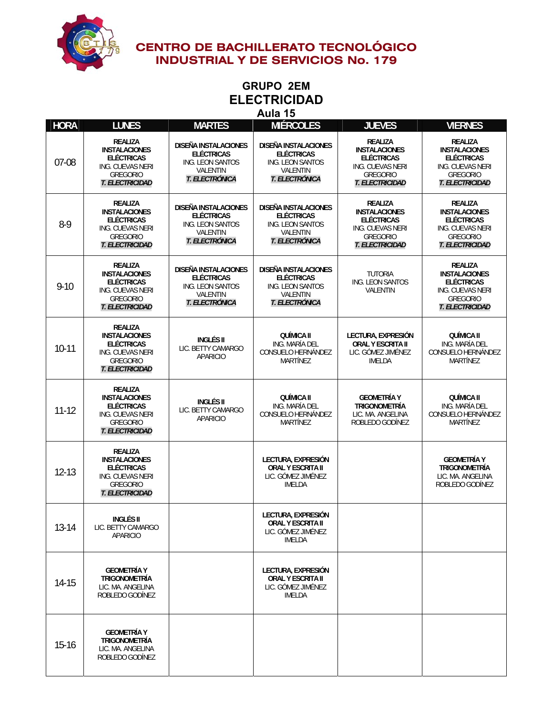

#### **GRUPO 2EM ELECTRICIDAD Aula 15**

| <b>HORA</b> | <b>LUNES</b>                                                                                                                 | <b>MARTES</b>                                                                                                    | <b>MIÉRCOLES</b>                                                                                          | <b>JUEVES</b>                                                                                                                | <b>VIERNES</b>                                                                                                               |
|-------------|------------------------------------------------------------------------------------------------------------------------------|------------------------------------------------------------------------------------------------------------------|-----------------------------------------------------------------------------------------------------------|------------------------------------------------------------------------------------------------------------------------------|------------------------------------------------------------------------------------------------------------------------------|
| $07 - 08$   | REALIZA<br><b>INSTALACIONES</b><br><b>ELÉCTRICAS</b><br>ING. CUEVAS NERI<br><b>GREGORIO</b><br><b>T. ELECTRICIDAD</b>        | <b>DISEÑA INSTALACIONES</b><br><b>ELÉCTRICAS</b><br>ING. LEON SANTOS<br>VALENTIN<br>T. ELECTRÓNICA               | <b>DISEÑA INSTALACIONES</b><br><b>ELÉCTRICAS</b><br>ING. LEON SANTOS<br>VALENTIN<br>T. ELECTRÓNICA        | <b>REALIZA</b><br><b>INSTALACIONES</b><br><b>ELÉCTRICAS</b><br>ING. CUEVAS NERI<br><b>GREGORIO</b><br><b>T. ELECTRICIDAD</b> | <b>REALIZA</b><br><b>INSTALACIONES</b><br><b>ELÉCTRICAS</b><br>ING. CUEVAS NERI<br><b>GREGORIO</b><br><b>T. ELECTRICIDAD</b> |
| $8-9$       | <b>REALIZA</b><br><b>INSTALACIONES</b><br><b>ELÉCTRICAS</b><br>ING. CUEVAS NERI<br><b>GREGORIO</b><br><b>T. ELECTRICIDAD</b> | <b>DISEÑA INSTALACIONES</b><br><b>ELÉCTRICAS</b><br>ING. LEON SANTOS<br><b>VALENTIN</b><br><b>T. ELECTRÓNICA</b> | <b>DISEÑA INSTALACIONES</b><br><b>ELÉCTRICAS</b><br>ING. LEON SANTOS<br><b>VALENTIN</b><br>T. ELECTRÓNICA | <b>REALIZA</b><br><b>INSTALACIONES</b><br><b>ELÉCTRICAS</b><br>ING. CUEVAS NERI<br><b>GREGORIO</b><br><b>T. ELECTRICIDAD</b> | <b>REALIZA</b><br><b>INSTALACIONES</b><br><b>ELÉCTRICAS</b><br>ING. CUEVAS NERI<br><b>GREGORIO</b><br><b>T. ELECTRICIDAD</b> |
| $9 - 10$    | <b>REALIZA</b><br><b>INSTALACIONES</b><br><b>ELÉCTRICAS</b><br>ING. CUEVAS NERI<br><b>GREGORIO</b><br><b>T. ELECTRICIDAD</b> | <b>DISEÑA INSTALACIONES</b><br><b>ELÉCTRICAS</b><br>ING. LEON SANTOS<br>VALENTIN<br><i><b>T. ELECTRÓNICA</b></i> | <b>DISEÑA INSTALACIONES</b><br><b>ELÉCTRICAS</b><br>ING. LEON SANTOS<br>VALENTIN<br><b>T. ELECTRÓNICA</b> | <b>TUTORIA</b><br>ING. LEON SANTOS<br>VALENTIN                                                                               | <b>REALIZA</b><br><b>INSTALACIONES</b><br><b>ELÉCTRICAS</b><br>ING. CUEVAS NERI<br><b>GREGORIO</b><br><b>T. ELECTRICIDAD</b> |
| $10-11$     | <b>REALIZA</b><br><b>INSTALACIONES</b><br><b>ELÉCTRICAS</b><br>ING. CUEVAS NERI<br><b>GREGORIO</b><br><b>T. ELECTRICIDAD</b> | <b>INGLÉS II</b><br>LIC. BETTY CAMARGO<br><b>APARICIO</b>                                                        | <b>QUÍMICA II</b><br>ING. MARÍA DEL<br>CONSUELO HERNÁNDEZ<br>MARTÍNEZ                                     | LECTURA, EXPRESIÓN<br><b>ORAL Y ESCRITA II</b><br>LIC. GÓMEZ JIMÉNEZ<br><b>IMELDA</b>                                        | <b>QUÍMICA II</b><br>ING. MARÍA DEL<br>CONSUELO HERNÁNDEZ<br>MARTÍNEZ                                                        |
| $11 - 12$   | <b>REALIZA</b><br><b>INSTALACIONES</b><br><b>ELÉCTRICAS</b><br>ING. CUEVAS NERI<br><b>GREGORIO</b><br><b>T. ELECTRICIDAD</b> | INGLÉS II<br>LIC. BETTY CAMARGO<br><b>APARICIO</b>                                                               | <b>QUÍMICA II</b><br>ING. MARÍA DEL<br>CONSUELO HERNÁNDEZ<br>MARTÍNEZ                                     | <b>GEOMETRÍA Y</b><br><b>TRIGONOMETRÍA</b><br>LIC. MA. ANGELINA<br>ROBLEDO GODÍNEZ                                           | QUÍMICA II<br>ING. MARÍA DEL<br>CONSUELO HERNÁNDEZ<br>MARTÍNEZ                                                               |
| $12 - 13$   | <b>REALIZA</b><br><b>INSTALACIONES</b><br><b>ELÉCTRICAS</b><br>ING. CUEVAS NERI<br><b>GREGORIO</b><br><b>T. ELECTRICIDAD</b> |                                                                                                                  | LECTURA, EXPRESIÓN<br><b>ORAL Y ESCRITA II</b><br>LIC. GÓMEZ JIMÉNEZ<br>IMELDA                            |                                                                                                                              | <b>GEOMETRÍA Y</b><br><b>TRIGONOMETRÍA</b><br>LIC. MA. ANGELINA<br>ROBLEDO GODÍNEZ                                           |
| 13-14       | <b>INGLÉS II</b><br>LIC. BETTY CAMARGO<br><b>APARICIO</b>                                                                    |                                                                                                                  | LECTURA, EXPRESIÓN<br>ORAL Y ESCRITA II<br>LIC. GÓMEZ JIMÉNEZ<br><b>IMELDA</b>                            |                                                                                                                              |                                                                                                                              |
| 14-15       | <b>GEOMETRÍA Y</b><br><b>TRIGONOMETRÍA</b><br>LIC. MA. ANGELINA<br>ROBLEDO GODÍNEZ                                           |                                                                                                                  | LECTURA, EXPRESIÓN<br><b>ORAL Y ESCRITA II</b><br>LIC. GÓMEZ JIMÉNEZ<br>IMELDA                            |                                                                                                                              |                                                                                                                              |
| $15 - 16$   | <b>GEOMETRÍA Y</b><br><b>TRIGONOMETRÍA</b><br>LIC. MA. ANGELINA<br>ROBLEDO GODÍNEZ                                           |                                                                                                                  |                                                                                                           |                                                                                                                              |                                                                                                                              |